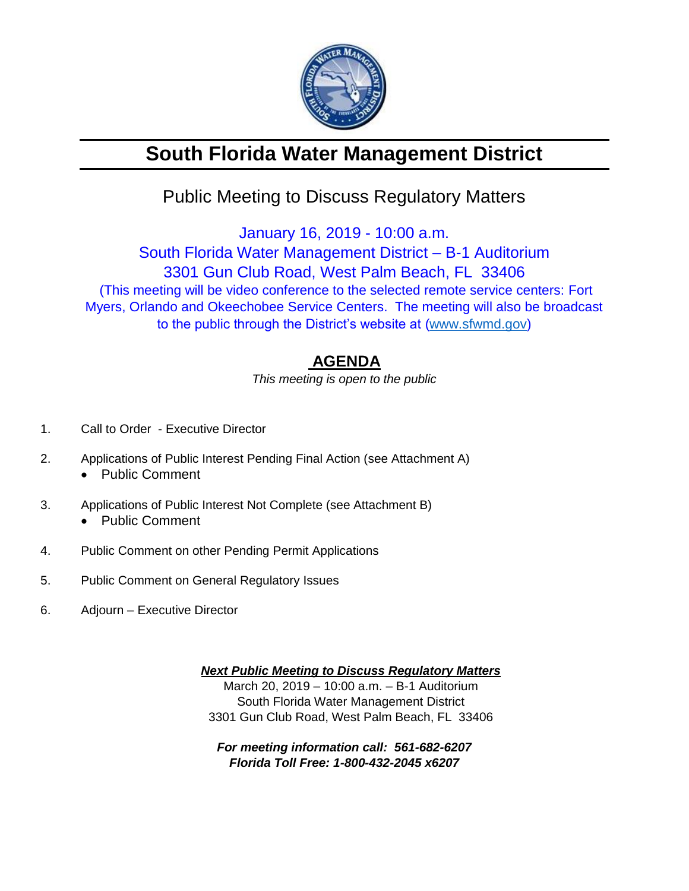

# **South Florida Water Management District**

## Public Meeting to Discuss Regulatory Matters

January 16, 2019 - 10:00 a.m.

South Florida Water Management District – B-1 Auditorium 3301 Gun Club Road, West Palm Beach, FL 33406 (This meeting will be video conference to the selected remote service centers: Fort Myers, Orlando and Okeechobee Service Centers. The meeting will also be broadcast to the public through the District's website at [\(www.sfwmd.gov\)](http://www.sfwmd.gov/)

### **AGENDA**

*This meeting is open to the public*

- 1. Call to Order Executive Director
- 2. Applications of Public Interest Pending Final Action (see Attachment A)
	- Public Comment
- 3. Applications of Public Interest Not Complete (see Attachment B) • Public Comment
	-
- 4. Public Comment on other Pending Permit Applications
- 5. Public Comment on General Regulatory Issues
- 6. Adjourn Executive Director

*Next Public Meeting to Discuss Regulatory Matters* March 20, 2019 – 10:00 a.m. – B-1 Auditorium South Florida Water Management District 3301 Gun Club Road, West Palm Beach, FL 33406

*For meeting information call: 561-682-6207 Florida Toll Free: 1-800-432-2045 x6207*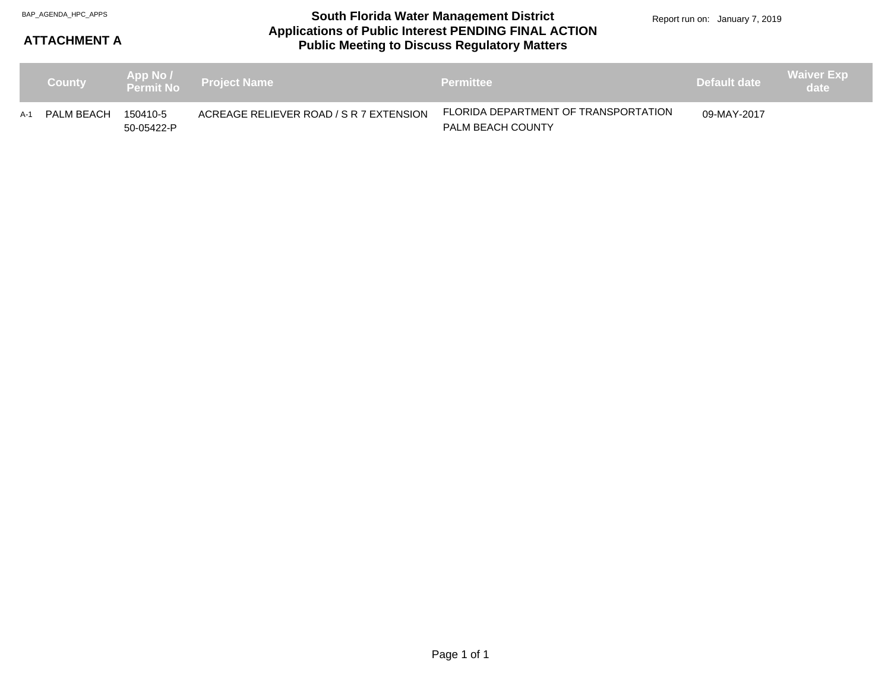#### **Applications of Public Interest PENDING FINAL ACTION Public Meeting to Discuss Regulatory Matters** BAP\_AGENDA\_HPC\_APPS **South Florida Water Management District**

### **ATTACHMENT A**

|     | <b>County</b> |                        | App No / Project Name                   | <b>Permittee</b>                                                 | Default date | <b>Waiver Exp</b><br>date |
|-----|---------------|------------------------|-----------------------------------------|------------------------------------------------------------------|--------------|---------------------------|
| A-1 | PALM BEACH    | 150410-5<br>50-05422-P | ACREAGE RELIEVER ROAD / S R 7 EXTENSION | FLORIDA DEPARTMENT OF TRANSPORTATION<br><b>PALM BEACH COUNTY</b> | 09-MAY-2017  |                           |